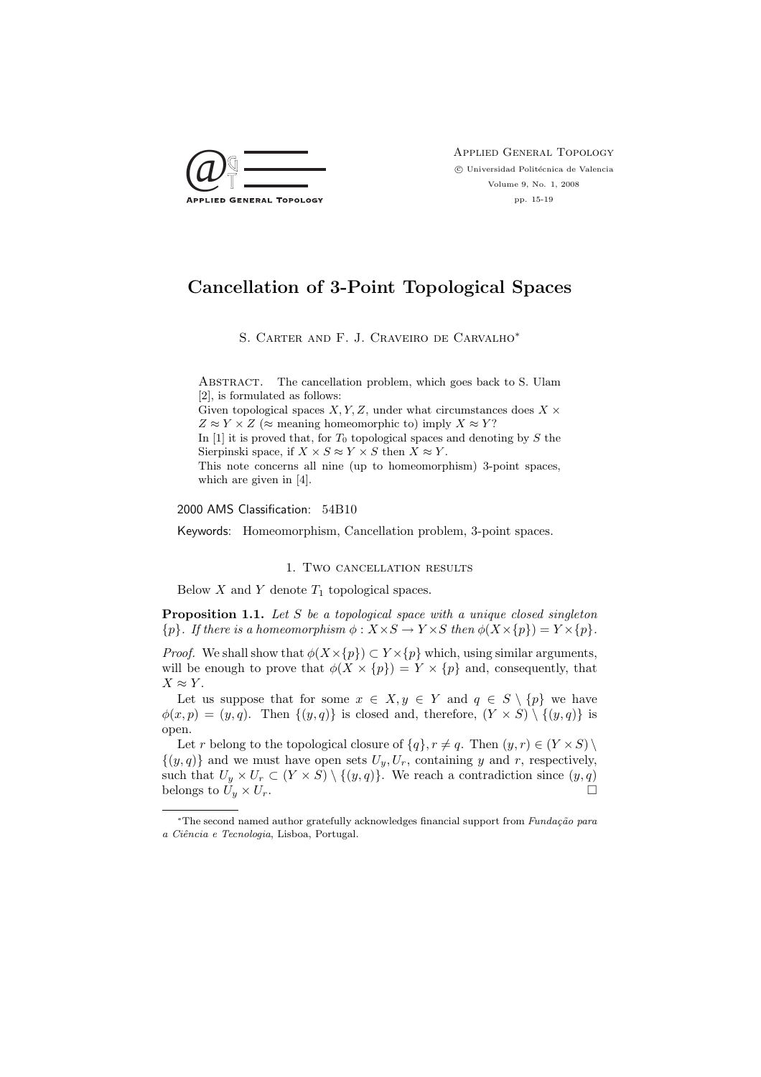

Applied General Topology  $\odot$  Universidad Politécnica de Valencia Volume 9, No. 1, 2008 pp. 15-19

# Cancellation of 3-Point Topological Spaces

S. Carter and F. J. Craveiro de Carvalho<sup>∗</sup>

ABSTRACT. The cancellation problem, which goes back to S. Ulam [2], is formulated as follows: Given topological spaces  $X, Y, Z$ , under what circumstances does  $X \times$  $Z \approx Y \times Z$  ( $\approx$  meaning homeomorphic to) imply  $X \approx Y$ ? In  $[1]$  it is proved that, for  $T_0$  topological spaces and denoting by S the Sierpinski space, if  $X \times S \approx Y \times S$  then  $X \approx Y$ . This note concerns all nine (up to homeomorphism) 3-point spaces, which are given in [4].

2000 AMS Classification: 54B10

Keywords: Homeomorphism, Cancellation problem, 3-point spaces.

1. Two cancellation results

Below  $X$  and  $Y$  denote  $T_1$  topological spaces.

**Proposition 1.1.** Let  $S$  be a topological space with a unique closed singleton  ${p}.$  If there is a homeomorphism  $\phi: X \times S \to Y \times S$  then  $\phi(X \times \{p\}) = Y \times \{p\}.$ 

*Proof.* We shall show that  $\phi(X \times \{p\}) \subset Y \times \{p\}$  which, using similar arguments, will be enough to prove that  $\phi(X \times \{p\}) = Y \times \{p\}$  and, consequently, that  $X \approx Y$ .

Let us suppose that for some  $x \in X, y \in Y$  and  $q \in S \setminus \{p\}$  we have  $\phi(x, p) = (y, q)$ . Then  $\{(y, q)\}\$ is closed and, therefore,  $(Y \times S) \setminus \{(y, q)\}\$ is open.

Let r belong to the topological closure of  $\{q\}$ ,  $r \neq q$ . Then  $(y, r) \in (Y \times S) \setminus$  $\{(y, q)\}\$ and we must have open sets  $U_y, U_r$ , containing y and r, respectively, such that  $U_y \times U_r \subset (Y \times S) \setminus \{(y,q)\}.$  We reach a contradiction since  $(y,q)$ belongs to  $U_y \times U_r$ .

<sup>\*</sup>The second named author gratefully acknowledges financial support from Fundação para a Ciˆencia e Tecnologia, Lisboa, Portugal.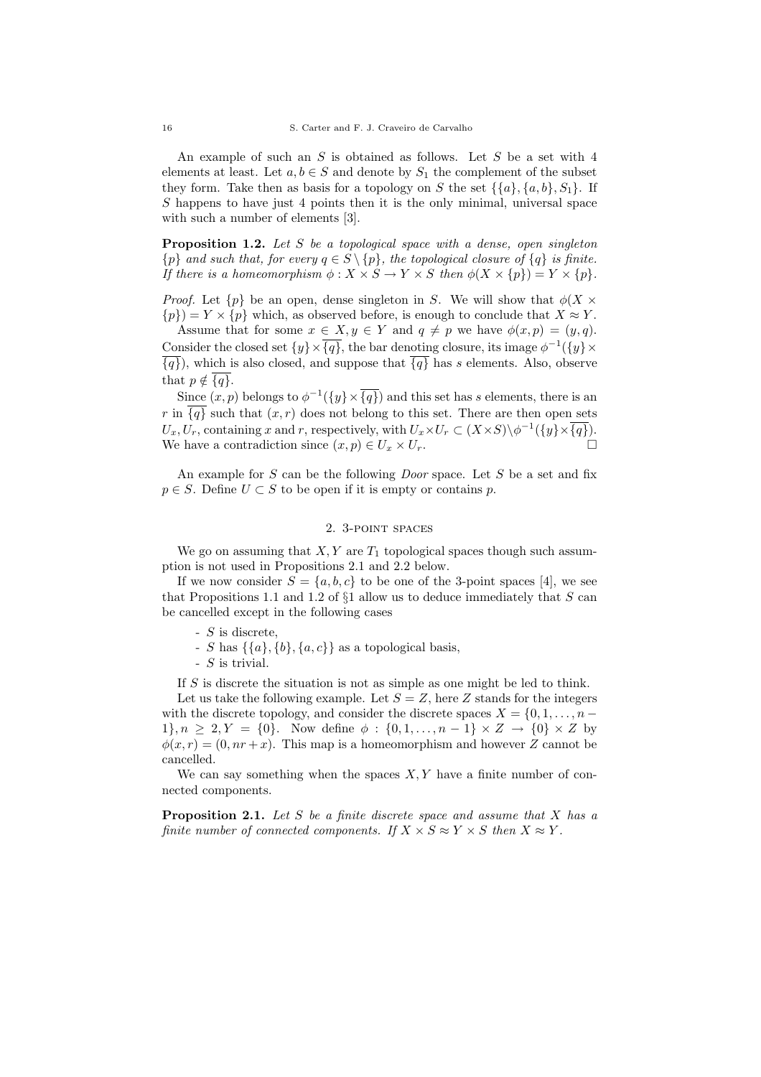An example of such an  $S$  is obtained as follows. Let  $S$  be a set with 4 elements at least. Let  $a, b \in S$  and denote by  $S_1$  the complement of the subset they form. Take then as basis for a topology on S the set  $\{\{a\}, \{a, b\}, S_1\}$ . If S happens to have just 4 points then it is the only minimal, universal space with such a number of elements [3].

**Proposition 1.2.** Let S be a topological space with a dense, open singleton  $\{p\}$  and such that, for every  $q \in S \setminus \{p\}$ , the topological closure of  $\{q\}$  is finite. If there is a homeomorphism  $\phi: X \times S \to Y \times S$  then  $\phi(X \times \{p\}) = Y \times \{p\}.$ 

*Proof.* Let  $\{p\}$  be an open, dense singleton in S. We will show that  $\phi(X \times$  $\{p\} = Y \times \{p\}$  which, as observed before, is enough to conclude that  $X \approx Y$ .

Assume that for some  $x \in X, y \in Y$  and  $q \neq p$  we have  $\phi(x, p) = (y, q)$ . Consider the closed set  $\{y\}\times\overline{\{q\}}$ , the bar denoting closure, its image  $\phi^{-1}(\{y\}\times\$  $\overline{\{q\}}$ , which is also closed, and suppose that  $\overline{\{q\}}$  has s elements. Also, observe that  $p \notin \{q\}.$ 

Since  $(x, p)$  belongs to  $\phi^{-1}(\{y\} \times \overline{\{q\}})$  and this set has s elements, there is an r in  $\overline{\{q\}}$  such that  $(x, r)$  does not belong to this set. There are then open sets  $U_x, U_r$ , containing x and r, respectively, with  $U_x \times U_r \subset (X \times S) \setminus \phi^{-1}(\{y\} \times \overline{\{q\}}).$ We have a contradiction since  $(x, p) \in U_x \times U_r$ .

An example for  $S$  can be the following *Door* space. Let  $S$  be a set and fix  $p \in S$ . Define  $U \subset S$  to be open if it is empty or contains p.

### 2. 3-point spaces

We go on assuming that  $X, Y$  are  $T_1$  topological spaces though such assumption is not used in Propositions 2.1 and 2.2 below.

If we now consider  $S = \{a, b, c\}$  to be one of the 3-point spaces [4], we see that Propositions 1.1 and 1.2 of  $\S1$  allow us to deduce immediately that S can be cancelled except in the following cases

- S is discrete,
- S has  $\{\{a\}, \{b\}, \{a, c\}\}\$ as a topological basis,
- S is trivial.

If S is discrete the situation is not as simple as one might be led to think.

Let us take the following example. Let  $S = Z$ , here Z stands for the integers with the discrete topology, and consider the discrete spaces  $X = \{0, 1, \ldots, n 1\}$ ,  $n > 2$ ,  $Y = \{0\}$ . Now define  $\phi : \{0, 1, ..., n-1\} \times Z \rightarrow \{0\} \times Z$  by  $\phi(x, r) = (0, nr + x)$ . This map is a homeomorphism and however Z cannot be cancelled.

We can say something when the spaces  $X, Y$  have a finite number of connected components.

**Proposition 2.1.** Let S be a finite discrete space and assume that X has a finite number of connected components. If  $X \times S \approx Y \times S$  then  $X \approx Y$ .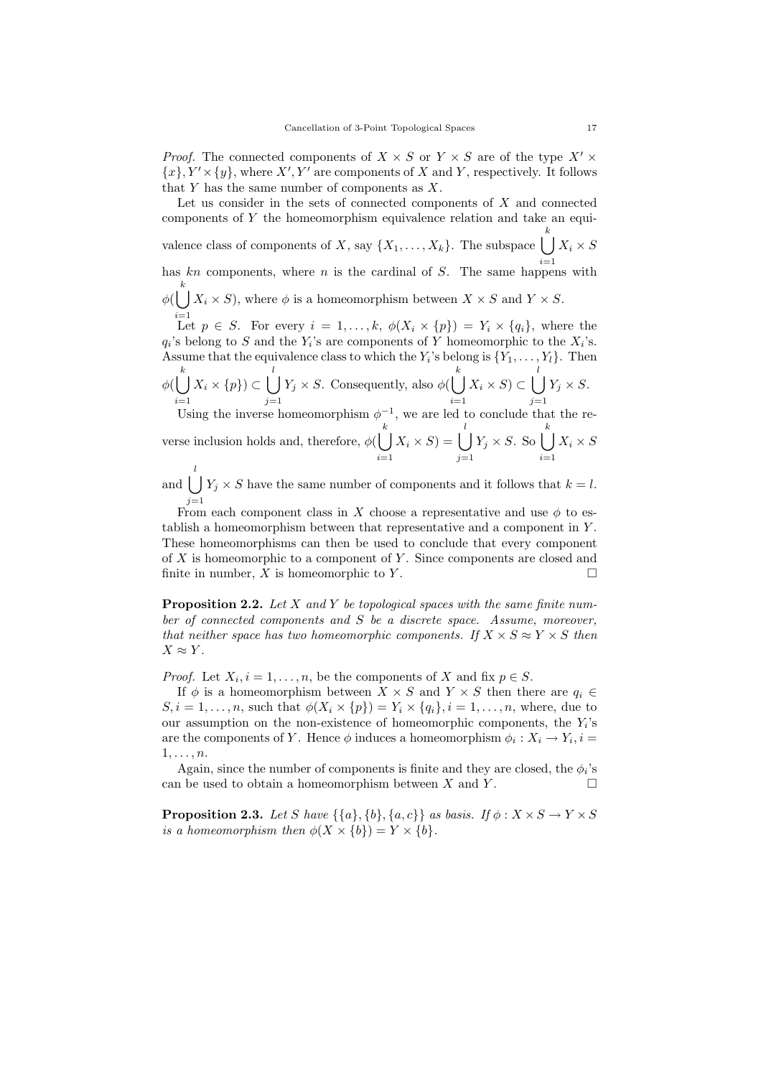*Proof.* The connected components of  $X \times S$  or  $Y \times S$  are of the type  $X' \times$  ${x}$ ,  $Y' \times {y}$ , where  $X'$ ,  $Y'$  are components of X and Y, respectively. It follows that  $Y$  has the same number of components as  $X$ .

Let us consider in the sets of connected components of  $X$  and connected components of Y the homeomorphism equivalence relation and take an equivalence class of components of X, say  $\{X_1, \ldots, X_k\}$ . The subspace  $\Box$ k has kn components, where n is the cardinal of S. The same happens with  $X_i \times S$  $\phi(\bigcup X_i \times S)$ , where  $\phi$  is a homeomorphism between  $X \times S$  and  $Y \times S$ . k Let  $p \in S$ . For every  $i = 1, ..., k$ ,  $\phi(X_i \times \{p\}) = Y_i \times \{q_i\}$ , where the

 $q_i$ 's belong to S and the  $Y_i$ 's are components of Y homeomorphic to the  $X_i$ 's. Assume that the equivalence class to which the  $Y_i$ 's belong is  $\{Y_1, \ldots, Y_l\}$ . Then k l k l

 $\phi(\mid$  $i=1$  $X_i \times \{p\}$ ) ⊂  $\bigcup$  $j=1$  $Y_j \times S$ . Consequently, also  $\phi(\bigcup)$  $i=1$  $X_i \times S$ ) ⊂  $\bigcup$  $j=1$  $Y_j \times S$ .

Using the inverse homeomorphism  $\phi^{-1}$ , we are led to conclude that the reverse inclusion holds and, therefore,  $\phi(\mid \cdot)$ k  $i=1$  $X_i \times S$ ) =  $\bigcup$ l  $j=1$  $Y_j \times S$ . So  $\Box$ k  $i=1$  $X_i \times S$ 

and  $\vert \ \vert$ l  $j=1$  $Y_j \times S$  have the same number of components and it follows that  $k = l$ .

From each component class in X choose a representative and use  $\phi$  to establish a homeomorphism between that representative and a component in Y . These homeomorphisms can then be used to conclude that every component of  $X$  is homeomorphic to a component of  $Y$ . Since components are closed and finite in number, X is homeomorphic to Y.

**Proposition 2.2.** Let X and Y be topological spaces with the same finite number of connected components and S be a discrete space. Assume, moreover, that neither space has two homeomorphic components. If  $X \times S \approx Y \times S$  then  $X \approx Y$ .

*Proof.* Let  $X_i$ ,  $i = 1, ..., n$ , be the components of X and fix  $p \in S$ .

If  $\phi$  is a homeomorphism between  $X \times S$  and  $Y \times S$  then there are  $q_i \in$  $S, i = 1, \ldots, n$ , such that  $\phi(X_i \times \{p\}) = Y_i \times \{q_i\}, i = 1, \ldots, n$ , where, due to our assumption on the non-existence of homeomorphic components, the  $Y_i$ 's are the components of Y. Hence  $\phi$  induces a homeomorphism  $\phi_i: X_i \to Y_i, i =$  $1, \ldots, n$ .

Again, since the number of components is finite and they are closed, the  $\phi_i$ 's can be used to obtain a homeomorphism between X and Y.

**Proposition 2.3.** Let S have  $\{\{a\}, \{b\}, \{a, c\}\}\$ as basis. If  $\phi: X \times S \rightarrow Y \times S$ is a homeomorphism then  $\phi(X \times \{b\}) = Y \times \{b\}.$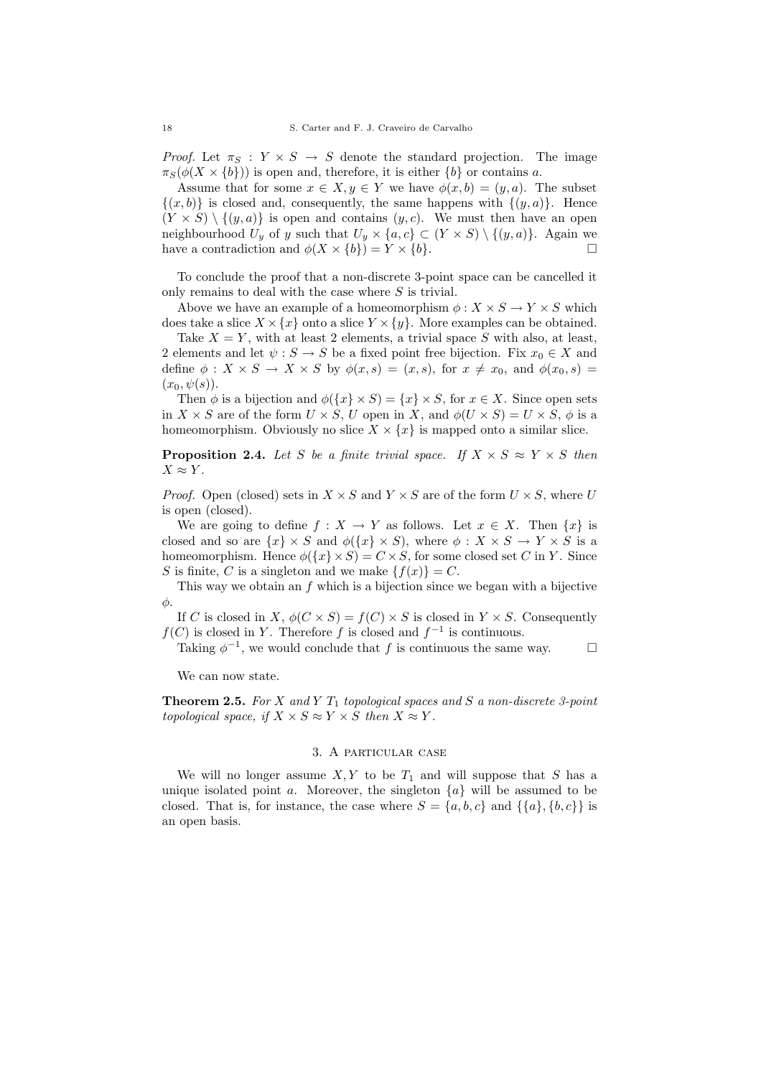*Proof.* Let  $\pi_S : Y \times S \to S$  denote the standard projection. The image  $\pi_S(\phi(X \times \{b\}))$  is open and, therefore, it is either  $\{b\}$  or contains a.

Assume that for some  $x \in X, y \in Y$  we have  $\phi(x, b) = (y, a)$ . The subset  $\{(x, b)\}\$ is closed and, consequently, the same happens with  $\{(y, a)\}\$ . Hence  $(Y \times S) \setminus \{(y, a)\}\$ is open and contains  $(y, c)$ . We must then have an open neighbourhood  $U_y$  of y such that  $U_y \times \{a, c\} \subset (Y \times S) \setminus \{(y, a)\}.$  Again we have a contradiction and  $\phi(X \times \{b\}) = Y \times \{b\}.$ 

To conclude the proof that a non-discrete 3-point space can be cancelled it only remains to deal with the case where  $S$  is trivial.

Above we have an example of a homeomorphism  $\phi: X \times S \to Y \times S$  which does take a slice  $X \times \{x\}$  onto a slice  $Y \times \{y\}$ . More examples can be obtained.

Take  $X = Y$ , with at least 2 elements, a trivial space S with also, at least, 2 elements and let  $\psi : S \to S$  be a fixed point free bijection. Fix  $x_0 \in X$  and define  $\phi: X \times S \to X \times S$  by  $\phi(x, s) = (x, s)$ , for  $x \neq x_0$ , and  $\phi(x_0, s) =$  $(x_0, \psi(s)).$ 

Then  $\phi$  is a bijection and  $\phi({x} \times S) = {x} \times S$ , for  $x \in X$ . Since open sets in  $X \times S$  are of the form  $U \times S$ , U open in X, and  $\phi(U \times S) = U \times S$ ,  $\phi$  is a homeomorphism. Obviously no slice  $X \times \{x\}$  is mapped onto a similar slice.

**Proposition 2.4.** Let S be a finite trivial space. If  $X \times S \approx Y \times S$  then  $X \approx Y$ .

*Proof.* Open (closed) sets in  $X \times S$  and  $Y \times S$  are of the form  $U \times S$ , where U is open (closed).

We are going to define  $f : X \to Y$  as follows. Let  $x \in X$ . Then  $\{x\}$  is closed and so are  $\{x\} \times S$  and  $\phi(\{x\} \times S)$ , where  $\phi : X \times S \to Y \times S$  is a homeomorphism. Hence  $\phi({x} \times S) = C \times S$ , for some closed set C in Y. Since S is finite, C is a singleton and we make  $\{f(x)\}=C$ .

This way we obtain an  $f$  which is a bijection since we began with a bijective φ.

If C is closed in X,  $\phi(C \times S) = f(C) \times S$  is closed in  $Y \times S$ . Consequently  $f(C)$  is closed in Y. Therefore f is closed and  $f^{-1}$  is continuous.

Taking  $\phi^{-1}$ , we would conclude that f is continuous the same way.  $\Box$ 

We can now state.

**Theorem 2.5.** For X and Y  $T_1$  topological spaces and S a non-discrete 3-point topological space, if  $X \times S \approx Y \times S$  then  $X \approx Y$ .

## 3. A particular case

We will no longer assume  $X, Y$  to be  $T_1$  and will suppose that S has a unique isolated point a. Moreover, the singleton  $\{a\}$  will be assumed to be closed. That is, for instance, the case where  $S = \{a, b, c\}$  and  $\{\{a\}, \{b, c\}\}\$ is an open basis.